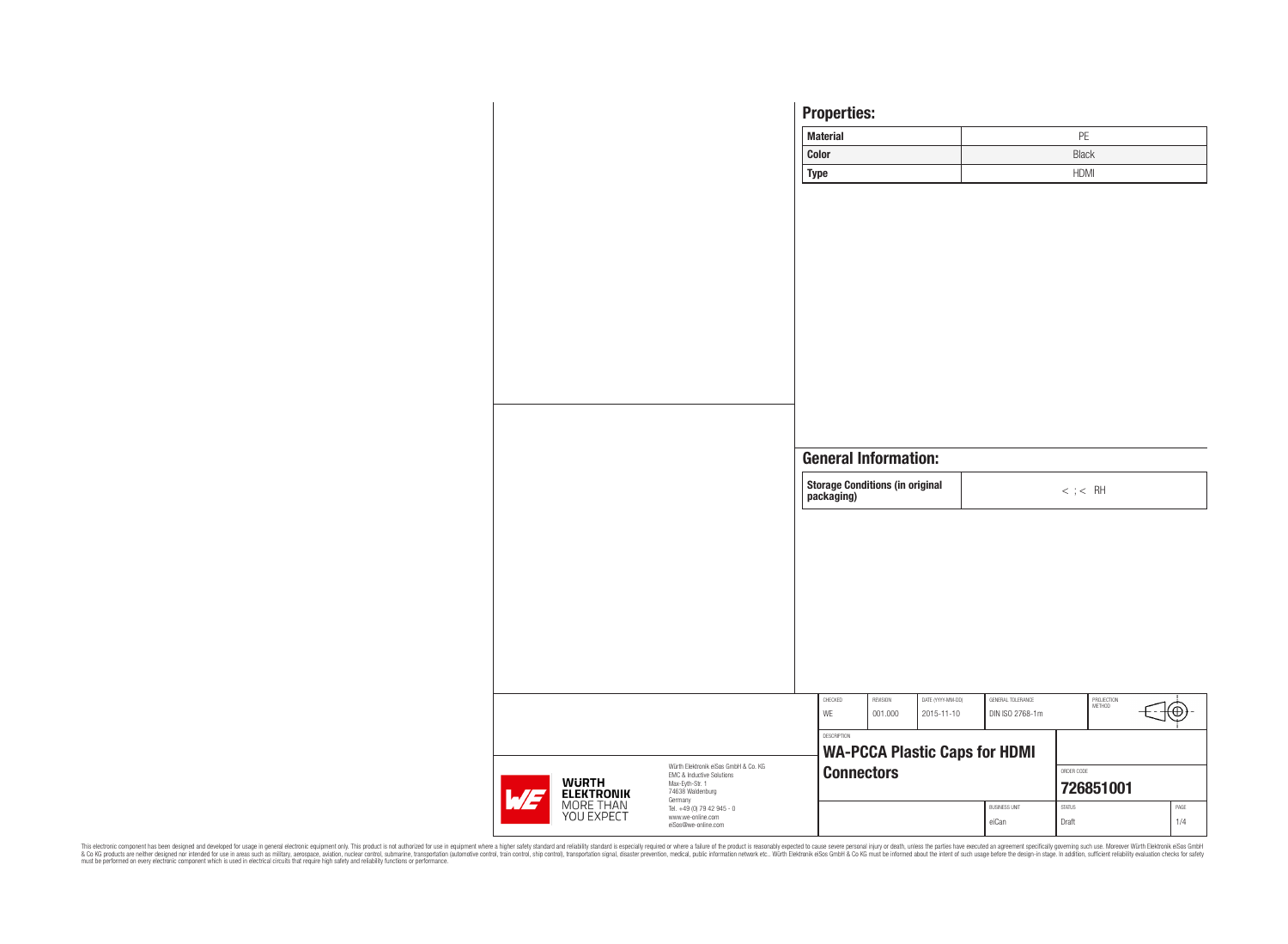|                                |                                                                   | <b>Properties:</b>                                   |                                                           |                                 |                                      |                  |                      |      |  |
|--------------------------------|-------------------------------------------------------------------|------------------------------------------------------|-----------------------------------------------------------|---------------------------------|--------------------------------------|------------------|----------------------|------|--|
|                                |                                                                   | <b>Material</b>                                      |                                                           |                                 |                                      | PE               |                      |      |  |
|                                |                                                                   | <b>Color</b>                                         |                                                           |                                 |                                      | <b>Black</b>     |                      |      |  |
|                                |                                                                   | <b>Type</b>                                          |                                                           |                                 |                                      | <b>HDMI</b>      |                      |      |  |
|                                |                                                                   |                                                      |                                                           |                                 |                                      |                  |                      |      |  |
|                                |                                                                   |                                                      |                                                           |                                 |                                      |                  |                      |      |  |
|                                |                                                                   |                                                      |                                                           |                                 |                                      |                  |                      |      |  |
|                                |                                                                   |                                                      |                                                           |                                 |                                      |                  |                      |      |  |
|                                |                                                                   |                                                      |                                                           |                                 |                                      |                  |                      |      |  |
|                                |                                                                   |                                                      |                                                           |                                 |                                      |                  |                      |      |  |
|                                |                                                                   |                                                      |                                                           |                                 |                                      |                  |                      |      |  |
|                                |                                                                   |                                                      |                                                           |                                 |                                      |                  |                      |      |  |
|                                |                                                                   |                                                      |                                                           |                                 |                                      |                  |                      |      |  |
|                                |                                                                   |                                                      |                                                           |                                 |                                      |                  |                      |      |  |
|                                |                                                                   |                                                      |                                                           |                                 |                                      |                  |                      |      |  |
|                                |                                                                   |                                                      |                                                           |                                 |                                      |                  |                      |      |  |
|                                |                                                                   | <b>General Information:</b>                          |                                                           |                                 |                                      |                  |                      |      |  |
|                                |                                                                   | <b>Storage Conditions (in original</b><br>packaging) |                                                           |                                 |                                      | $<\,$ ; $<\,$ RH |                      |      |  |
|                                |                                                                   |                                                      |                                                           |                                 |                                      |                  |                      |      |  |
|                                |                                                                   |                                                      |                                                           |                                 |                                      |                  |                      |      |  |
|                                |                                                                   |                                                      |                                                           |                                 |                                      |                  |                      |      |  |
|                                |                                                                   |                                                      |                                                           |                                 |                                      |                  |                      |      |  |
|                                |                                                                   |                                                      |                                                           |                                 |                                      |                  |                      |      |  |
|                                |                                                                   |                                                      |                                                           |                                 |                                      |                  |                      |      |  |
|                                |                                                                   |                                                      |                                                           |                                 |                                      |                  |                      |      |  |
|                                |                                                                   |                                                      |                                                           |                                 |                                      |                  |                      |      |  |
|                                |                                                                   |                                                      |                                                           |                                 |                                      |                  |                      |      |  |
|                                |                                                                   | CHECKED<br>WE                                        | REVISION<br>001.000                                       | DATE (YYYY-MM-DD)<br>2015-11-10 | GENERAL TOLERANCE<br>DIN ISO 2768-1m |                  | PROJECTION<br>METHOD |      |  |
|                                |                                                                   | DESCRIPTION                                          |                                                           |                                 |                                      |                  |                      |      |  |
|                                |                                                                   |                                                      |                                                           |                                 |                                      |                  |                      |      |  |
|                                | Würth Elektronik eiSos GmbH & Co. KG<br>EMC & Inductive Solutions |                                                      | <b>WA-PCCA Plastic Caps for HDMI</b><br><b>Connectors</b> |                                 |                                      |                  | ORDER CODE           |      |  |
| <b>WÜRTH<br/>ELEKTRONIK</b>    | Max-Eyth-Str. 1<br>74638 Waldenburg<br>Germany                    |                                                      |                                                           |                                 |                                      |                  | 726851001            |      |  |
| <b>MORE THAN</b><br>YOU EXPECT | Tel. +49 (0) 79 42 945 - 0<br>www.we-online.com                   |                                                      |                                                           |                                 | <b>BUSINESS UNIT</b>                 | <b>STATUS</b>    |                      | PAGE |  |
|                                | eiSos@we-online.com                                               |                                                      |                                                           |                                 | eiCan                                | Draft            |                      | 1/4  |  |

This electronic component has been designed and developed for usage in general electronic equipment only. This product is not authorized for subserved requipment where a higher selection equipment where a higher selection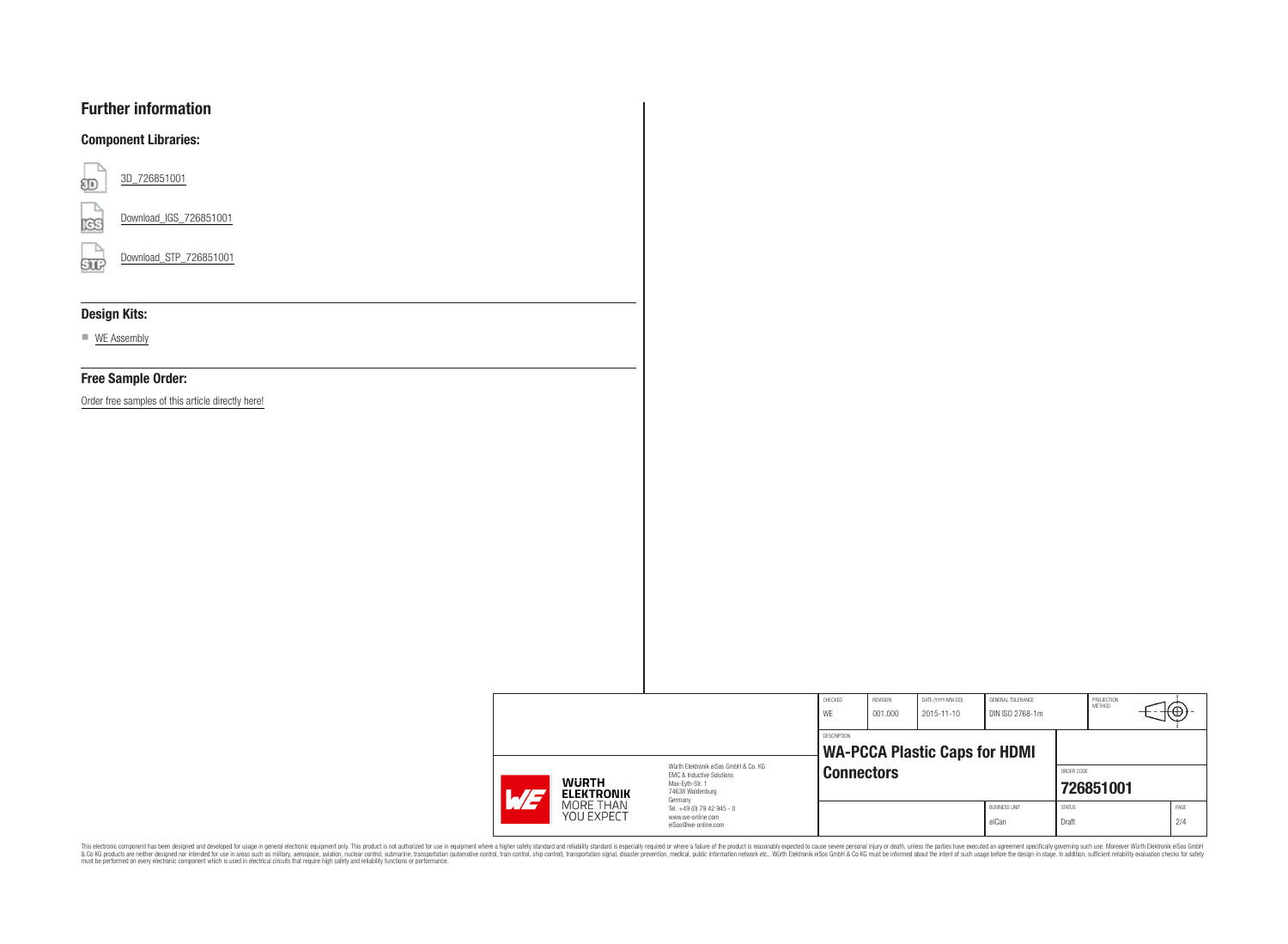# **Further information**

### **Component Libraries:**



[Download\\_IGS\\_726851001](https://www.we-online.com/catalog/download/Download_IGS_726851001 (rev1).igs)

[Download\\_STP\\_726851001](https://www.we-online.com/catalog/download/Download_STP_726851001 (rev1).stp)  $50$ 

### **Design Kits:**

■ [WE Assembly](https://www.we-online.com/catalog/en/DESIGNKIT_700999)

#### **Free Sample Order:**

[Order free samples of this article directly here!](https://www.we-online.com/catalog_cart?addcart=726851001)

|  |                                                  |                                                                              | CHECKED<br>WE | REVISION<br>001.000                                       | DATE (YYYY-MM-DD)<br>2015-11-10 | GENERAL TOLERANCE<br>DIN ISO 2768-1m | PROJECTION<br><b>METHOD</b> |            | ₩₩   |  |
|--|--------------------------------------------------|------------------------------------------------------------------------------|---------------|-----------------------------------------------------------|---------------------------------|--------------------------------------|-----------------------------|------------|------|--|
|  |                                                  |                                                                              | DESCRIPTION   |                                                           |                                 |                                      |                             |            |      |  |
|  | <b>WURTH</b><br>$\sqrt{77}$<br><b>ELEKTRONIK</b> | Würth Flektronik eiSos GmbH & Co. KG<br><b>FMC &amp; Inductive Solutions</b> |               | <b>WA-PCCA Plastic Caps for HDMI</b><br><b>Connectors</b> |                                 |                                      |                             | ORDER CODE |      |  |
|  |                                                  | Max-Evth-Str. 1<br>74638 Waldenburg<br>Germany                               |               |                                                           |                                 |                                      | 726851001                   |            |      |  |
|  | MORE THAN<br>YOU EXPECT                          | Tel. +49 (0) 79 42 945 - 0<br>www.we-online.com                              |               |                                                           |                                 | <b>BUSINESS UNIT</b>                 | <b>STATUS</b>               |            | PAGE |  |
|  |                                                  | eiSos@we-online.com                                                          |               |                                                           |                                 | eiCan                                | Draft                       |            | 2/4  |  |

This electronic component has been designed and developed for usage in general electronic equipment only. This product is not authorized for subserved requipment where a higher selection equipment where a higher selection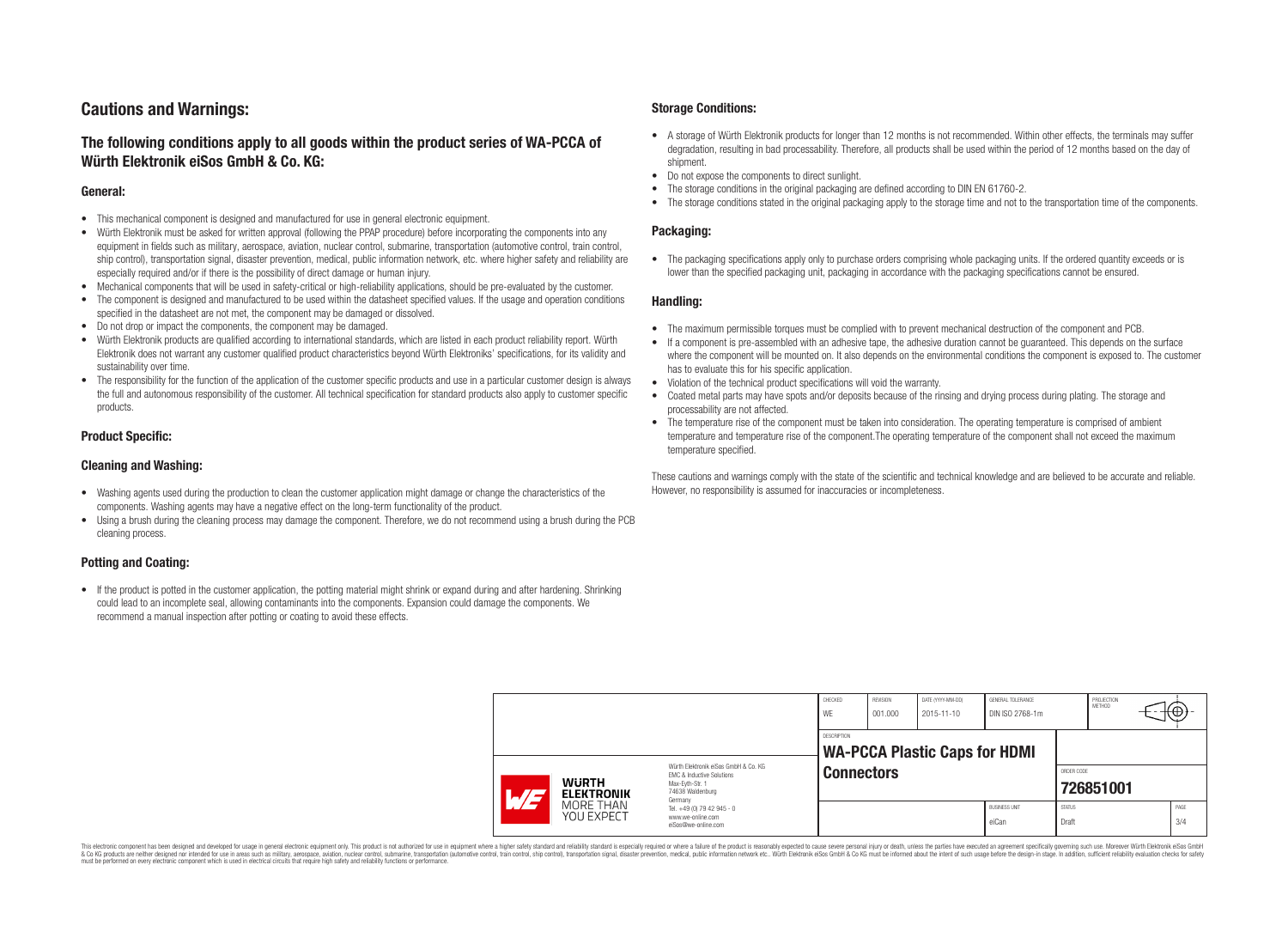# **Cautions and Warnings:**

## **The following conditions apply to all goods within the product series of WA-PCCA of Würth Elektronik eiSos GmbH & Co. KG:**

#### **General:**

- This mechanical component is designed and manufactured for use in general electronic equipment.
- Würth Elektronik must be asked for written approval (following the PPAP procedure) before incorporating the components into any equipment in fields such as military, aerospace, aviation, nuclear control, submarine, transportation (automotive control, train control, ship control), transportation signal, disaster prevention, medical, public information network, etc. where higher safety and reliability are especially required and/or if there is the possibility of direct damage or human injury.
- Mechanical components that will be used in safety-critical or high-reliability applications, should be pre-evaluated by the customer.
- The component is designed and manufactured to be used within the datasheet specified values. If the usage and operation conditions specified in the datasheet are not met, the component may be damaged or dissolved.
- Do not drop or impact the components, the component may be damaged.<br>• Wirth Elektronik products are qualified according to international standard
- Würth Elektronik products are qualified according to international standards, which are listed in each product reliability report. Würth Elektronik does not warrant any customer qualified product characteristics beyond Würth Elektroniks' specifications, for its validity and sustainability over time.
- The responsibility for the function of the application of the customer specific products and use in a particular customer design is always the full and autonomous responsibility of the customer. All technical specification for standard products also apply to customer specific products.

#### **Product Specific:**

#### **Cleaning and Washing:**

- Washing agents used during the production to clean the customer application might damage or change the characteristics of the components. Washing agents may have a negative effect on the long-term functionality of the product.
- Using a brush during the cleaning process may damage the component. Therefore, we do not recommend using a brush during the PCB cleaning process.

#### **Potting and Coating:**

• If the product is potted in the customer application, the potting material might shrink or expand during and after hardening. Shrinking could lead to an incomplete seal, allowing contaminants into the components. Expansion could damage the components. We recommend a manual inspection after potting or coating to avoid these effects.

#### **Storage Conditions:**

- A storage of Würth Elektronik products for longer than 12 months is not recommended. Within other effects, the terminals may suffer degradation, resulting in bad processability. Therefore, all products shall be used within the period of 12 months based on the day of shipment.
- Do not expose the components to direct sunlight.<br>• The storage conditions in the original packaging
- The storage conditions in the original packaging are defined according to DIN EN 61760-2.
- The storage conditions stated in the original packaging apply to the storage time and not to the transportation time of the components.

#### **Packaging:**

• The packaging specifications apply only to purchase orders comprising whole packaging units. If the ordered quantity exceeds or is lower than the specified packaging unit, packaging in accordance with the packaging specifications cannot be ensured.

#### **Handling:**

- The maximum permissible torques must be complied with to prevent mechanical destruction of the component and PCB.
- If a component is pre-assembled with an adhesive tape, the adhesive duration cannot be guaranteed. This depends on the surface where the component will be mounted on. It also depends on the environmental conditions the component is exposed to. The customer has to evaluate this for his specific application.
- Violation of the technical product specifications will void the warranty.
- Coated metal parts may have spots and/or deposits because of the rinsing and drying process during plating. The storage and processability are not affected.
- The temperature rise of the component must be taken into consideration. The operating temperature is comprised of ambient temperature and temperature rise of the component.The operating temperature of the component shall not exceed the maximum temperature specified.

These cautions and warnings comply with the state of the scientific and technical knowledge and are believed to be accurate and reliable. However, no responsibility is assumed for inaccuracies or incompleteness.

|                                                                                                                                                          |                                                                                   | CHECKED<br>WE      | REVISION<br>001.000                                       | DATE (YYYY-MM-DD)<br>2015-11-10 | <b>GENERAL TOLERANCE</b><br>DIN ISO 2768-1m |                         | PROJECTION<br>METHOD | ιtΨ         |
|----------------------------------------------------------------------------------------------------------------------------------------------------------|-----------------------------------------------------------------------------------|--------------------|-----------------------------------------------------------|---------------------------------|---------------------------------------------|-------------------------|----------------------|-------------|
| Würth Elektronik eiSos GmbH & Co. KG<br><b>EMC &amp; Inductive Solutions</b><br><b>WURTH</b><br>Max-Eyth-Str. 1<br>74638 Waldenburg<br><b>ELEKTRONIK</b> |                                                                                   | <b>DESCRIPTION</b> | <b>WA-PCCA Plastic Caps for HDMI</b><br><b>Connectors</b> |                                 |                                             | ORDER CODE<br>726851001 |                      |             |
| MORE THAN<br>YOU EXPECT                                                                                                                                  | Germany<br>Tel. +49 (0) 79 42 945 - 0<br>www.we-online.com<br>eiSos@we-online.com |                    |                                                           |                                 | <b>BUSINESS UNIT</b><br>eiCan               | <b>STATUS</b><br>Draft  |                      | PAGE<br>3/4 |

This electronic component has been designed and developed for usage in general electronic equipment only. This product is not authorized for use in equipment where a higher safety standard and reliability standard si espec & Ook product a label and the membed of the seasuch as marked and as which such a membed and the such assume that income in the seasuch and the simulation and the such assume that include to the such a membed and the such